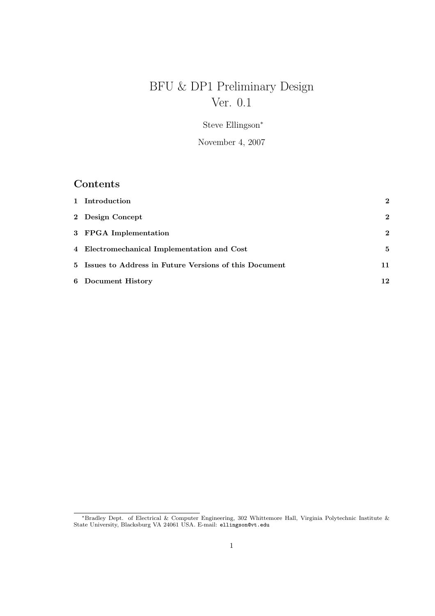# BFU & DP1 Preliminary Design Ver. 0.1

Steve Ellingson<sup>∗</sup>

November 4, 2007

# Contents

| 1 Introduction                                          | $\mathbf{2}$ |
|---------------------------------------------------------|--------------|
| 2 Design Concept                                        | $\mathbf{2}$ |
| 3 FPGA Implementation                                   | $\mathbf{2}$ |
| 4 Electromechanical Implementation and Cost             | 5            |
| 5 Issues to Address in Future Versions of this Document | 11           |
| 6 Document History                                      | 12           |

<sup>∗</sup>Bradley Dept. of Electrical & Computer Engineering, 302 Whittemore Hall, Virginia Polytechnic Institute & State University, Blacksburg VA 24061 USA. E-mail: ellingson@vt.edu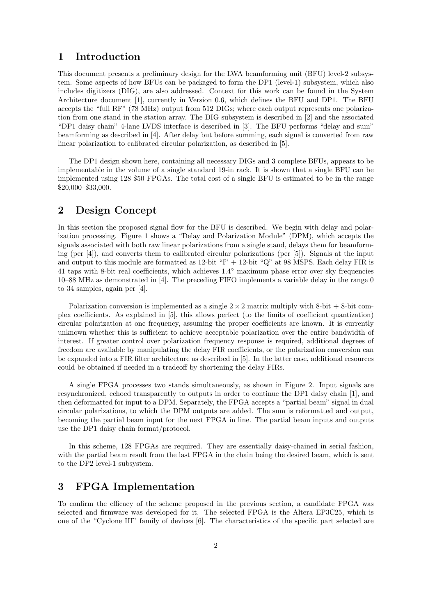#### 1 Introduction

This document presents a preliminary design for the LWA beamforming unit (BFU) level-2 subsystem. Some aspects of how BFUs can be packaged to form the DP1 (level-1) subsystem, which also includes digitizers (DIG), are also addressed. Context for this work can be found in the System Architecture document [1], currently in Version 0.6, which defines the BFU and DP1. The BFU accepts the "full RF" (78 MHz) output from 512 DIGs; where each output represents one polarization from one stand in the station array. The DIG subsystem is described in [2] and the associated "DP1 daisy chain" 4-lane LVDS interface is described in [3]. The BFU performs "delay and sum" beamforming as described in [4]. After delay but before summing, each signal is converted from raw linear polarization to calibrated circular polarization, as described in [5].

The DP1 design shown here, containing all necessary DIGs and 3 complete BFUs, appears to be implementable in the volume of a single standard 19-in rack. It is shown that a single BFU can be implemented using 128 \$50 FPGAs. The total cost of a single BFU is estimated to be in the range \$20,000–\$33,000.

#### 2 Design Concept

In this section the proposed signal flow for the BFU is described. We begin with delay and polarization processing. Figure 1 shows a "Delay and Polarization Module" (DPM), which accepts the signals associated with both raw linear polarizations from a single stand, delays them for beamforming (per [4]), and converts them to calibrated circular polarizations (per [5]). Signals at the input and output to this module are formatted as  $12$ -bit " $T' + 12$ -bit " $Q''$  at 98 MSPS. Each delay FIR is 41 taps with 8-bit real coefficients, which achieves  $1.4^{\circ}$  maximum phase error over sky frequencies 10–88 MHz as demonstrated in [4]. The preceding FIFO implements a variable delay in the range 0 to 34 samples, again per [4].

Polarization conversion is implemented as a single  $2 \times 2$  matrix multiply with 8-bit + 8-bit complex coefficients. As explained in [5], this allows perfect (to the limits of coefficient quantization) circular polarization at one frequency, assuming the proper coefficients are known. It is currently unknown whether this is sufficient to achieve acceptable polarization over the entire bandwidth of interest. If greater control over polarization frequency response is required, additional degrees of freedom are available by manipulating the delay FIR coefficients, or the polarization conversion can be expanded into a FIR filter architecture as described in [5]. In the latter case, additional resources could be obtained if needed in a tradeoff by shortening the delay FIRs.

A single FPGA processes two stands simultaneously, as shown in Figure 2. Input signals are resynchronized, echoed transparently to outputs in order to continue the DP1 daisy chain [1], and then deformatted for input to a DPM. Separately, the FPGA accepts a "partial beam" signal in dual circular polarizations, to which the DPM outputs are added. The sum is reformatted and output, becoming the partial beam input for the next FPGA in line. The partial beam inputs and outputs use the DP1 daisy chain format/protocol.

In this scheme, 128 FPGAs are required. They are essentially daisy-chained in serial fashion, with the partial beam result from the last FPGA in the chain being the desired beam, which is sent to the DP2 level-1 subsystem.

### 3 FPGA Implementation

To confirm the efficacy of the scheme proposed in the previous section, a candidate FPGA was selected and firmware was developed for it. The selected FPGA is the Altera EP3C25, which is one of the "Cyclone III" family of devices [6]. The characteristics of the specific part selected are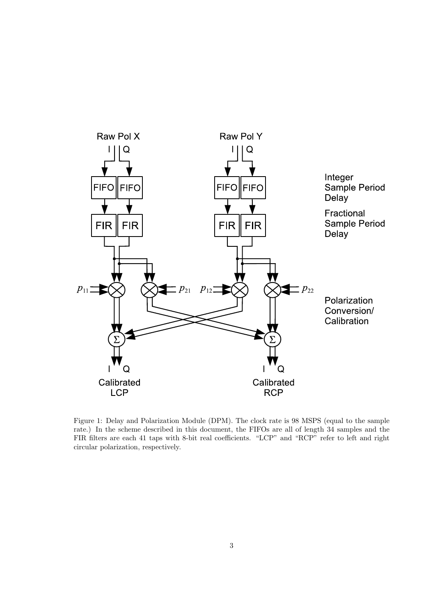

Figure 1: Delay and Polarization Module (DPM). The clock rate is 98 MSPS (equal to the sample rate.) In the scheme described in this document, the FIFOs are all of length 34 samples and the FIR filters are each 41 taps with 8-bit real coefficients. "LCP" and "RCP" refer to left and right circular polarization, respectively.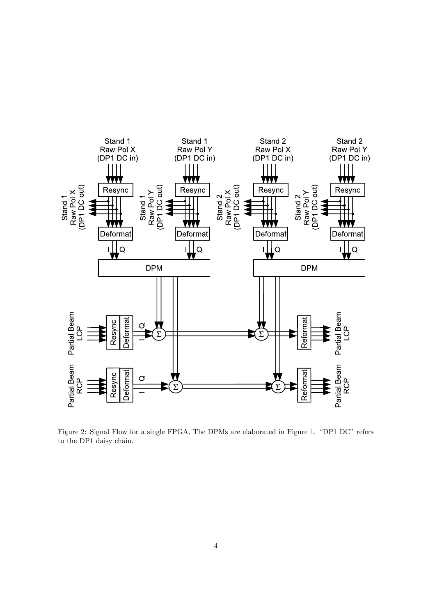

Figure 2: Signal Flow for a single FPGA. The DPMs are elaborated in Figure 1. "DP1 DC" refers to the DP1 daisy chain.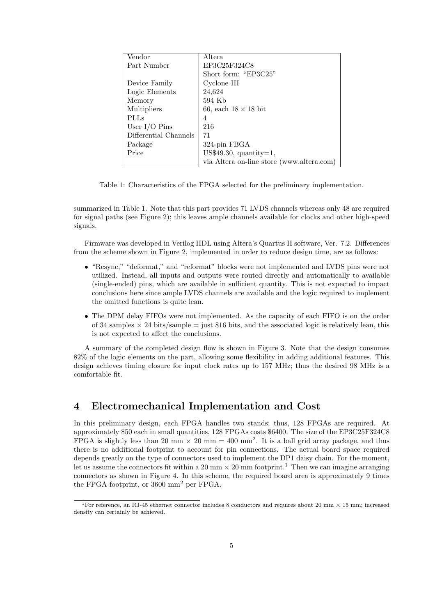| Vendor                | Altera                                    |  |  |
|-----------------------|-------------------------------------------|--|--|
| Part Number           | EP3C25F324C8                              |  |  |
|                       | Short form: "EP3C25"                      |  |  |
| Device Family         | Cyclone III                               |  |  |
| Logic Elements        | 24,624                                    |  |  |
| Memory                | 594 Kb                                    |  |  |
| Multipliers           | 66, each $18 \times 18$ bit               |  |  |
| <b>PLLs</b>           | 4                                         |  |  |
| User $I/O$ Pins       | 216                                       |  |  |
| Differential Channels | 71                                        |  |  |
| Package               | 324-pin FBGA                              |  |  |
| Price                 | US\$49.30, quantity= $1$ ,                |  |  |
|                       | via Altera on-line store (www.altera.com) |  |  |

Table 1: Characteristics of the FPGA selected for the preliminary implementation.

summarized in Table 1. Note that this part provides 71 LVDS channels whereas only 48 are required for signal paths (see Figure 2); this leaves ample channels available for clocks and other high-speed signals.

Firmware was developed in Verilog HDL using Altera's Quartus II software, Ver. 7.2. Differences from the scheme shown in Figure 2, implemented in order to reduce design time, are as follows:

- "Resync," "deformat," and "reformat" blocks were not implemented and LVDS pins were not utilized. Instead, all inputs and outputs were routed directly and automatically to available (single-ended) pins, which are available in sufficient quantity. This is not expected to impact conclusions here since ample LVDS channels are available and the logic required to implement the omitted functions is quite lean.
- The DPM delay FIFOs were not implemented. As the capacity of each FIFO is on the order of 34 samples  $\times$  24 bits/sample = just 816 bits, and the associated logic is relatively lean, this is not expected to affect the conclusions.

A summary of the completed design flow is shown in Figure 3. Note that the design consumes 82% of the logic elements on the part, allowing some flexibility in adding additional features. This design achieves timing closure for input clock rates up to 157 MHz; thus the desired 98 MHz is a comfortable fit.

### 4 Electromechanical Implementation and Cost

In this preliminary design, each FPGA handles two stands; thus, 128 FPGAs are required. At approximately \$50 each in small quantities, 128 FPGAs costs \$6400. The size of the EP3C25F324C8 FPGA is slightly less than 20 mm  $\times$  20 mm = 400 mm<sup>2</sup>. It is a ball grid array package, and thus there is no additional footprint to account for pin connections. The actual board space required depends greatly on the type of connectors used to implement the DP1 daisy chain. For the moment, let us assume the connectors fit within a 20 mm  $\times$  20 mm footprint.<sup>1</sup> Then we can imagine arranging connectors as shown in Figure 4. In this scheme, the required board area is approximately 9 times the FPGA footprint, or 3600 mm<sup>2</sup> per FPGA.

<sup>&</sup>lt;sup>1</sup>For reference, an RJ-45 ethernet connector includes 8 conductors and requires about 20 mm  $\times$  15 mm; increased density can certainly be achieved.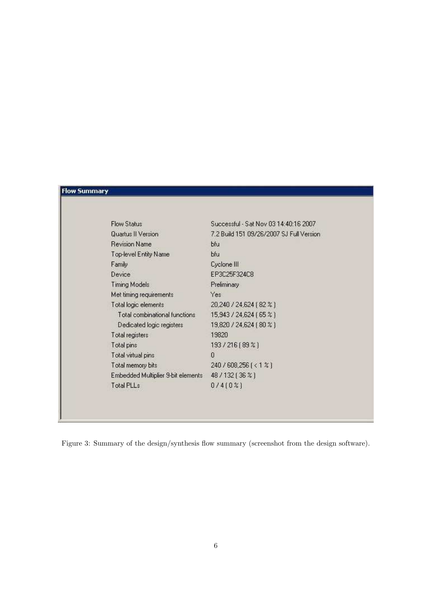| <u>Flow Summary</u> |  |  |
|---------------------|--|--|
|                     |  |  |

| <b>Flow Status</b>                 | Successful - Sat Nov 03 14:40:16 2007    |
|------------------------------------|------------------------------------------|
| Quartus II Version                 | 7.2 Build 151 09/26/2007 SJ Full Version |
| <b>Revision Name</b>               | bfu                                      |
| Top-level Entity Name              | bfu                                      |
| Family                             | Cyclone III                              |
| Device                             | EP3C25F324C8                             |
| <b>Timing Models</b>               | Preliminary.                             |
| Met timing requirements            | Yes                                      |
| Total logic elements               | 20,240 / 24,624 [ 82 % ]                 |
| Total combinational functions      | 15,943 / 24,624 (65 %)                   |
| Dedicated logic registers          | 19,820 / 24,624 (80 %)                   |
| Total registers                    | 19820                                    |
| Total pins                         | 193/216 (89 %)                           |
| Total virtual pins                 | 0                                        |
| Total memory bits                  | 240 / 608,256 [ < 1 %]                   |
| Embedded Multiplier 9-bit elements | 48 / 132 (36 %)                          |
| Total PLLs                         | 0/410%                                   |
|                                    |                                          |

Figure 3: Summary of the design/synthesis flow summary (screenshot from the design software).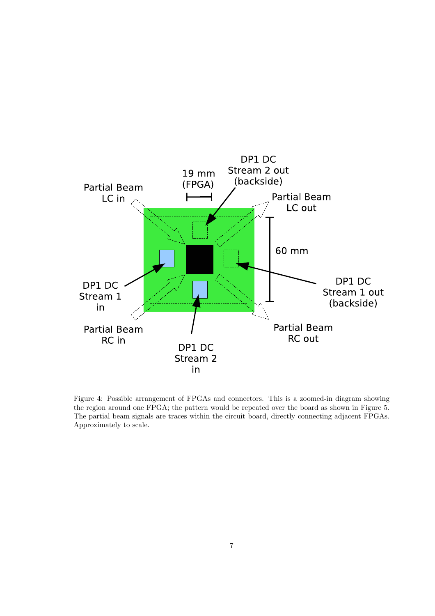

Figure 4: Possible arrangement of FPGAs and connectors. This is a zoomed-in diagram showing the region around one FPGA; the pattern would be repeated over the board as shown in Figure 5. The partial beam signals are traces within the circuit board, directly connecting adjacent FPGAs. Approximately to scale.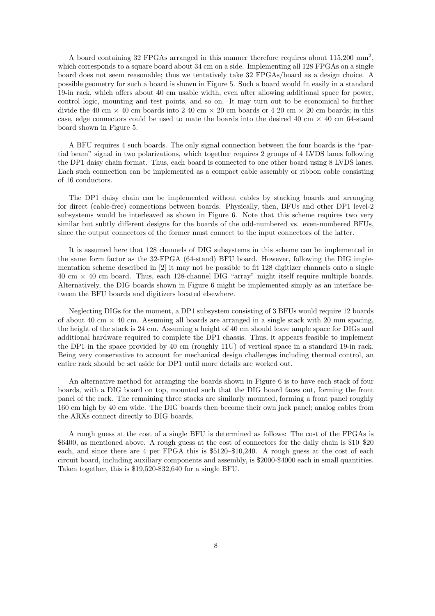A board containing 32 FPGAs arranged in this manner therefore requires about  $115,200$  mm<sup>2</sup>, which corresponds to a square board about 34 cm on a side. Implementing all 128 FPGAs on a single board does not seem reasonable; thus we tentatively take 32 FPGAs/board as a design choice. A possible geometry for such a board is shown in Figure 5. Such a board would fit easily in a standard 19-in rack, which offers about 40 cm usable width, even after allowing additional space for power, control logic, mounting and test points, and so on. It may turn out to be economical to further divide the 40 cm  $\times$  40 cm boards into 2 40 cm  $\times$  20 cm boards or 4 20 cm  $\times$  20 cm boards; in this case, edge connectors could be used to mate the boards into the desired 40 cm  $\times$  40 cm 64-stand board shown in Figure 5.

A BFU requires 4 such boards. The only signal connection between the four boards is the "partial beam" signal in two polarizations, which together requires 2 groups of 4 LVDS lanes following the DP1 daisy chain format. Thus, each board is connected to one other board using 8 LVDS lanes. Each such connection can be implemented as a compact cable assembly or ribbon cable consisting of 16 conductors.

The DP1 daisy chain can be implemented without cables by stacking boards and arranging for direct (cable-free) connections between boards. Physically, then, BFUs and other DP1 level-2 subsystems would be interleaved as shown in Figure 6. Note that this scheme requires two very similar but subtly different designs for the boards of the odd-numbered vs. even-numbered BFUs, since the output connectors of the former must connect to the input connectors of the latter.

It is assumed here that 128 channels of DIG subsystems in this scheme can be implemented in the same form factor as the 32-FPGA (64-stand) BFU board. However, following the DIG implementation scheme described in [2] it may not be possible to fit 128 digitizer channels onto a single  $40 \text{ cm} \times 40 \text{ cm}$  board. Thus, each 128-channel DIG "array" might itself require multiple boards. Alternatively, the DIG boards shown in Figure 6 might be implemented simply as an interface between the BFU boards and digitizers located elsewhere.

Neglecting DIGs for the moment, a DP1 subsystem consisting of 3 BFUs would require 12 boards of about 40 cm  $\times$  40 cm. Assuming all boards are arranged in a single stack with 20 mm spacing, the height of the stack is 24 cm. Assuming a height of 40 cm should leave ample space for DIGs and additional hardware required to complete the DP1 chassis. Thus, it appears feasible to implement the DP1 in the space provided by 40 cm (roughly 11U) of vertical space in a standard 19-in rack. Being very conservative to account for mechanical design challenges including thermal control, an entire rack should be set aside for DP1 until more details are worked out.

An alternative method for arranging the boards shown in Figure 6 is to have each stack of four boards, with a DIG board on top, mounted such that the DIG board faces out, forming the front panel of the rack. The remaining three stacks are similarly mounted, forming a front panel roughly 160 cm high by 40 cm wide. The DIG boards then become their own jack panel; analog cables from the ARXs connect directly to DIG boards.

A rough guess at the cost of a single BFU is determined as follows: The cost of the FPGAs is \$6400, as mentioned above. A rough guess at the cost of connectors for the daily chain is \$10–\$20 each, and since there are 4 per FPGA this is \$5120–\$10,240. A rough guess at the cost of each circuit board, including auxiliary components and assembly, is \$2000-\$4000 each in small quantities. Taken together, this is \$19,520-\$32,640 for a single BFU.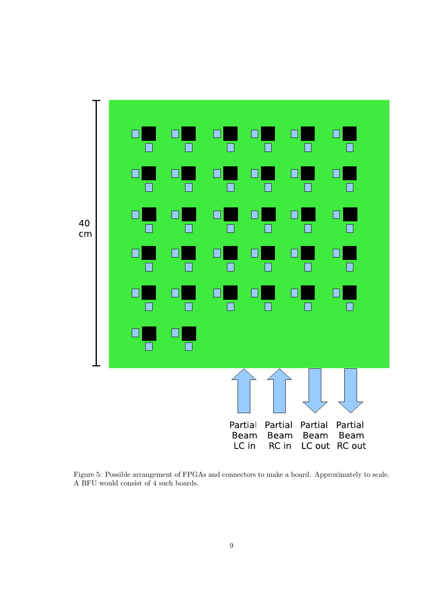

Figure 5: Possible arrangement of FPGAs and connectors to make a board. Approximately to scale. A BFU would consist of 4 such boards.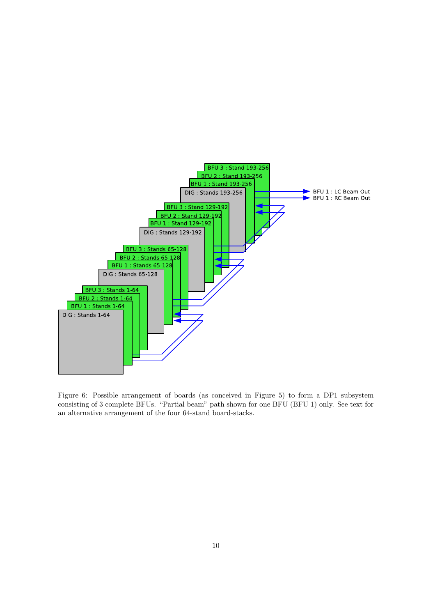

Figure 6: Possible arrangement of boards (as conceived in Figure 5) to form a DP1 subsystem consisting of 3 complete BFUs. "Partial beam" path shown for one BFU (BFU 1) only. See text for an alternative arrangement of the four 64-stand board-stacks.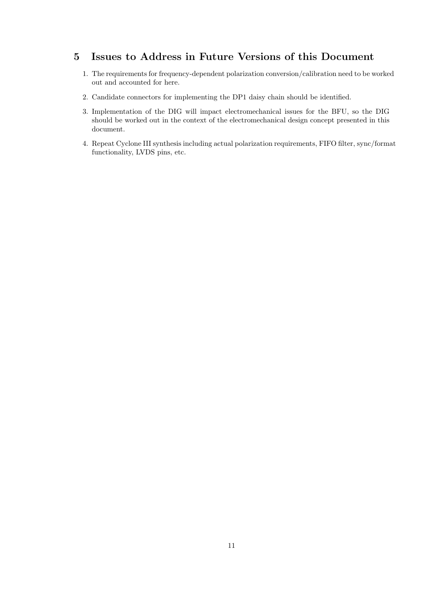## 5 Issues to Address in Future Versions of this Document

- 1. The requirements for frequency-dependent polarization conversion/calibration need to be worked out and accounted for here.
- 2. Candidate connectors for implementing the DP1 daisy chain should be identified.
- 3. Implementation of the DIG will impact electromechanical issues for the BFU, so the DIG should be worked out in the context of the electromechanical design concept presented in this document.
- 4. Repeat Cyclone III synthesis including actual polarization requirements, FIFO filter, sync/format functionality, LVDS pins, etc.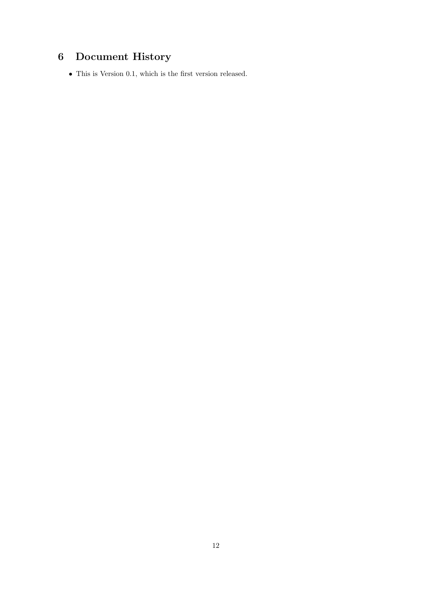# 6 Document History

 $\bullet\,$  This is Version 0.1, which is the first version released.